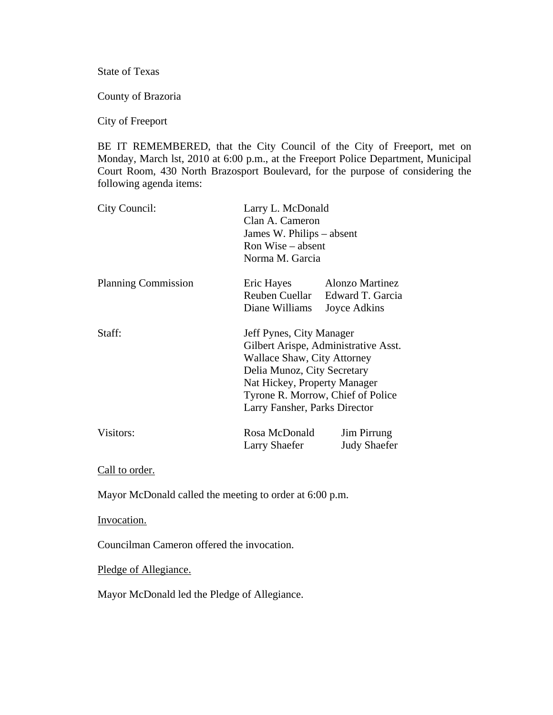State of Texas

County of Brazoria

City of Freeport

BE IT REMEMBERED, that the City Council of the City of Freeport, met on Monday, March lst, 2010 at 6:00 p.m., at the Freeport Police Department, Municipal Court Room, 430 North Brazosport Boulevard, for the purpose of considering the following agenda items:

| City Council:              | Larry L. McDonald<br>Clan A. Cameron<br>James W. Philips – absent<br>Ron Wise – absent<br>Norma M. Garcia                                                                                                                            |                                                                           |  |
|----------------------------|--------------------------------------------------------------------------------------------------------------------------------------------------------------------------------------------------------------------------------------|---------------------------------------------------------------------------|--|
| <b>Planning Commission</b> | Eric Hayes<br>Diane Williams                                                                                                                                                                                                         | <b>Alonzo Martinez</b><br>Reuben Cuellar Edward T. Garcia<br>Joyce Adkins |  |
| Staff:                     | Jeff Pynes, City Manager<br>Gilbert Arispe, Administrative Asst.<br>Wallace Shaw, City Attorney<br>Delia Munoz, City Secretary<br>Nat Hickey, Property Manager<br>Tyrone R. Morrow, Chief of Police<br>Larry Fansher, Parks Director |                                                                           |  |
| Visitors:                  | Rosa McDonald<br>Larry Shaefer                                                                                                                                                                                                       | Jim Pirrung<br><b>Judy Shaefer</b>                                        |  |

Call to order.

Mayor McDonald called the meeting to order at 6:00 p.m.

Invocation.

Councilman Cameron offered the invocation.

Pledge of Allegiance.

Mayor McDonald led the Pledge of Allegiance.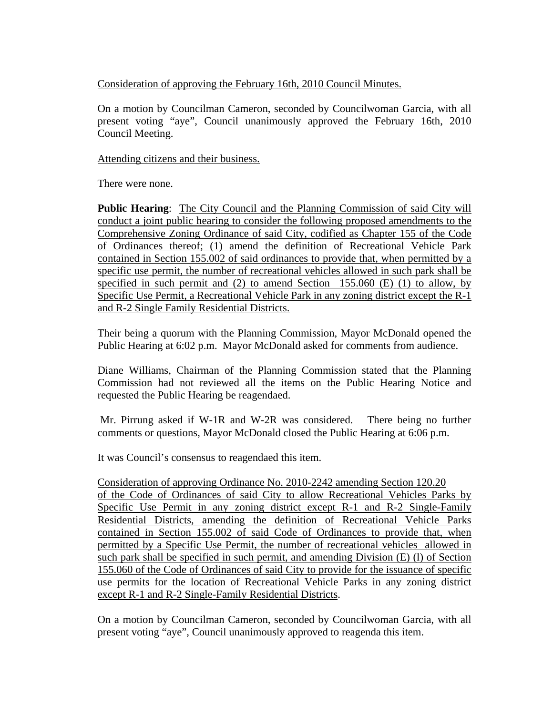Consideration of approving the February 16th, 2010 Council Minutes.

On a motion by Councilman Cameron, seconded by Councilwoman Garcia, with all present voting "aye", Council unanimously approved the February 16th, 2010 Council Meeting.

Attending citizens and their business.

There were none.

**Public Hearing**: The City Council and the Planning Commission of said City will conduct a joint public hearing to consider the following proposed amendments to the Comprehensive Zoning Ordinance of said City, codified as Chapter 155 of the Code of Ordinances thereof; (1) amend the definition of Recreational Vehicle Park contained in Section 155.002 of said ordinances to provide that, when permitted by a specific use permit, the number of recreational vehicles allowed in such park shall be specified in such permit and  $(2)$  to amend Section 155.060  $(E)$  (1) to allow, by Specific Use Permit, a Recreational Vehicle Park in any zoning district except the R-1 and R-2 Single Family Residential Districts.

Their being a quorum with the Planning Commission, Mayor McDonald opened the Public Hearing at 6:02 p.m. Mayor McDonald asked for comments from audience.

Diane Williams, Chairman of the Planning Commission stated that the Planning Commission had not reviewed all the items on the Public Hearing Notice and requested the Public Hearing be reagendaed.

 Mr. Pirrung asked if W-1R and W-2R was considered. There being no further comments or questions, Mayor McDonald closed the Public Hearing at 6:06 p.m.

It was Council's consensus to reagendaed this item.

Consideration of approving Ordinance No. 2010-2242 amending Section 120.20 of the Code of Ordinances of said City to allow Recreational Vehicles Parks by Specific Use Permit in any zoning district except R-1 and R-2 Single-Family Residential Districts, amending the definition of Recreational Vehicle Parks contained in Section 155.002 of said Code of Ordinances to provide that, when permitted by a Specific Use Permit, the number of recreational vehicles allowed in such park shall be specified in such permit, and amending Division (E) (l) of Section 155.060 of the Code of Ordinances of said City to provide for the issuance of specific use permits for the location of Recreational Vehicle Parks in any zoning district except R-1 and R-2 Single-Family Residential Districts.

On a motion by Councilman Cameron, seconded by Councilwoman Garcia, with all present voting "aye", Council unanimously approved to reagenda this item.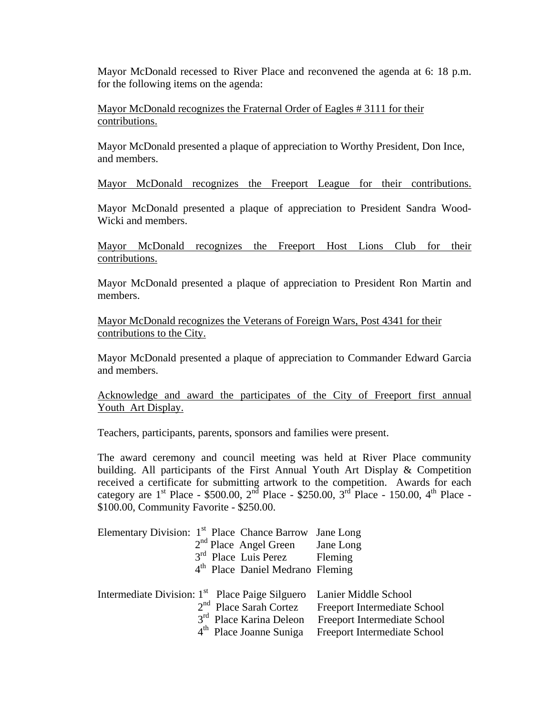Mayor McDonald recessed to River Place and reconvened the agenda at 6: 18 p.m. for the following items on the agenda:

Mayor McDonald recognizes the Fraternal Order of Eagles # 3111 for their contributions.

Mayor McDonald presented a plaque of appreciation to Worthy President, Don Ince, and members.

Mayor McDonald recognizes the Freeport League for their contributions.

Mayor McDonald presented a plaque of appreciation to President Sandra Wood-Wicki and members.

Mayor McDonald recognizes the Freeport Host Lions Club for their contributions.

Mayor McDonald presented a plaque of appreciation to President Ron Martin and members.

Mayor McDonald recognizes the Veterans of Foreign Wars, Post 4341 for their contributions to the City.

Mayor McDonald presented a plaque of appreciation to Commander Edward Garcia and members.

Acknowledge and award the participates of the City of Freeport first annual Youth Art Display.

Teachers, participants, parents, sponsors and families were present.

The award ceremony and council meeting was held at River Place community building. All participants of the First Annual Youth Art Display & Competition received a certificate for submitting artwork to the competition. Awards for each category are  $1^{st}$  Place - \$500.00,  $2^{nd}$  Place - \$250.00,  $3^{rd}$  Place - 150.00,  $4^{th}$  Place -\$100.00, Community Favorite - \$250.00.

| Elementary Division: $1st$ Place Chance Barrow |  | $2nd$ Place Angel Green Jane Long<br>3 <sup>rd</sup> Place Luis Perez Fleming<br>4 <sup>th</sup> Place Daniel Medrano Fleming | Jane Long                                                                        |
|------------------------------------------------|--|-------------------------------------------------------------------------------------------------------------------------------|----------------------------------------------------------------------------------|
|                                                |  |                                                                                                                               | Intermediate Division: 1 <sup>st</sup> Place Paige Silguero Lanier Middle School |
|                                                |  | $2nd$ Place Sarah Cortez                                                                                                      | Freeport Intermediate School                                                     |
|                                                |  | 3 <sup>rd</sup> Place Karina Deleon                                                                                           | Freeport Intermediate School                                                     |
|                                                |  | 4 <sup>th</sup> Place Joanne Suniga                                                                                           | Freeport Intermediate School                                                     |